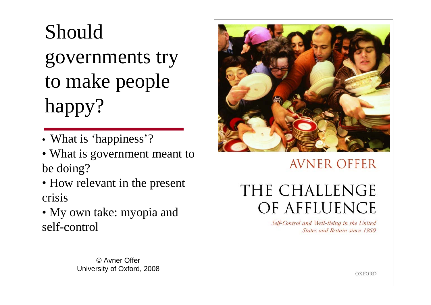# Should

governments try to make people happy?

- What is 'happiness'?
- What is government meant to be doing?
- How relevant in the present crisis
- My own take: myopia and self-control

© Avner OfferUniversity of Oxford, 2008



### **AVNER OFFER**

# THE CHALLENGE OF AFFLUENCE

Self-Control and Well-Being in the United States and Britain since 1950

 $\overline{D}$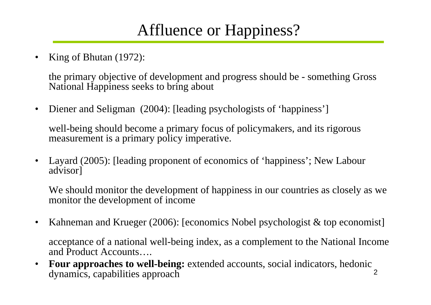# Affluence or Happiness?

•King of Bhutan (1972):

> the primary objective of development and progress should be - something Gross National Happiness seeks to bring about

•Diener and Seligman (2004): [leading psychologists of 'happiness']

well-being should become a primary focus of policymakers, and its rigorous measurement is a primary policy imperative.

• Layard (2005): [leading proponent of economics of 'happiness'; New Labour advisor]

We should monitor the development of happiness in our countries as closely as we monitor the development of income

•Kahneman and Krueger (2006): [economics Nobel psychologist & top economist]

acceptance of a national well-being index, as a complement to the National Income and Product Accounts….

2 $\bullet$  **Four approaches to well-being:** extended accounts, social indicators, hedonic dynamics, capabilities approach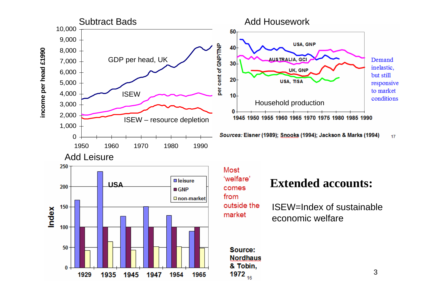





Most from outside the market

ISEW=Index of sustainableeconomic welfare

```
Source:
Nordhaus
& Tobin,
1972_{16}
```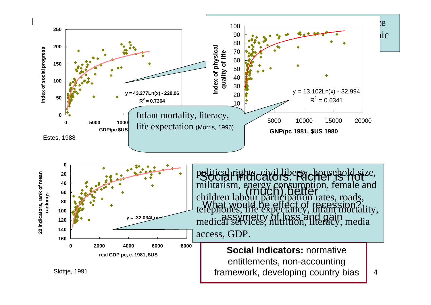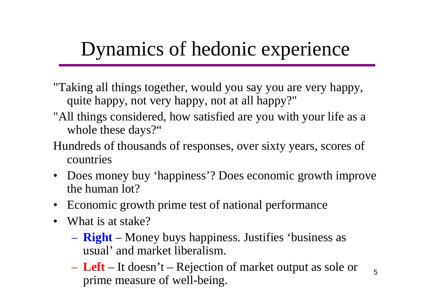# Dynamics of hedonic experience

- "Taking all things together, would you say you are very happy, quite happy, not very happy, not at all happy?"
- "All things considered, how satisfied are you with your life as a whole these days?"
- Hundreds of thousands of responses, over sixty years, scores of countries
- Does money buy 'happiness'? Does economic growth improve the human lot?
- Economic growth prime test of national performance
- What is at stake?
	- **Right** Money buys happiness. Justifies 'business as usual' and market liberalism.
	- **Left** It doesn't Rejection of market output as sole or prime measure of well-being.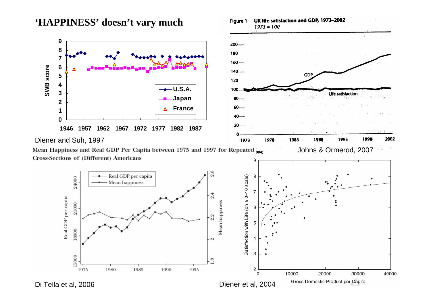#### **'HAPPINESS' doesn't vary much**



Figure 1

UK life satisfaction and GDP, 1973-2002

Mean Happiness and Real GDP Per Capita between 1975 and 1997 for Repeated <sub>200</sub> Cross-Sections of (Different) Americans 9



Di Tella et al, 2006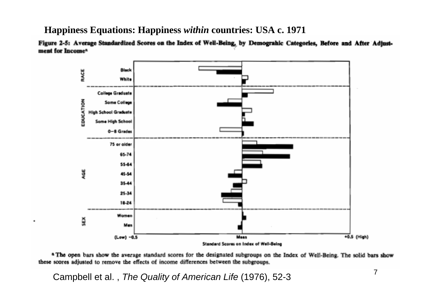#### **Happiness Equations: Happiness** *within* **countries: USA c. 1971**

Figure 2-5: Average Standardized Scores on the Index of Well-Being, by Demograhic Categories, Before and After Adjustment for Income<sup>a</sup>



a The open bars show the average standard scores for the designated subgroups on the Index of Well-Being. The solid bars show these scores adjusted to remove the effects of income differences between the subgroups.

Campbell et al. , *The Quality of American Life* (1976), 52-3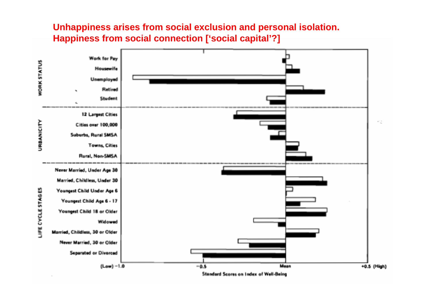#### **Unhappiness arises from social exclusion and personal isolation. Happiness from social connection ['social capital'?]**

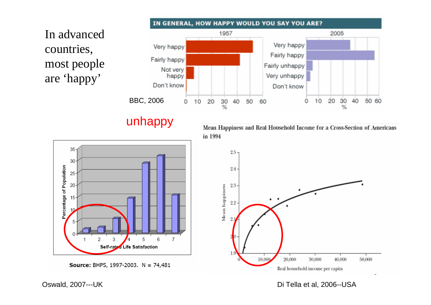In advanced countries, most people are 'happy'

35

30

25

20

15

10

5

Percentage of Population



#### unhappy

Mean Happiness and Real Household Income for a Cross-Section of Americans in 1994



Oswald, 2007---UK

Di Tella et al, 2006--USA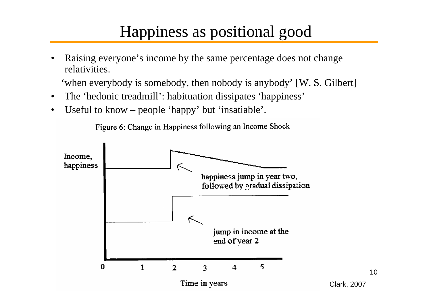### Happiness as positional good

• Raising everyone's income by the same percentage does not change relativities.

'when everybody is somebody, then nobody is anybody' [W. S. Gilbert]

- •The 'hedonic treadmill': habituation dissipates 'happiness'
- •Useful to know – people 'happy' but 'insatiable'.

Figure 6: Change in Happiness following an Income Shock

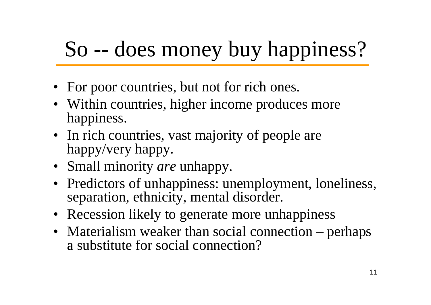# So -- does money buy happiness?

- For poor countries, but not for rich ones.
- Within countries, higher income produces more happiness.
- In rich countries, vast majority of people are happy/very happy.
- Small minority *are* unhappy.
- Predictors of unhappiness: unemployment, loneliness, separation, ethnicity, mental disorder.
- Recession likely to generate more unhappiness
- Materialism weaker than social connection perhaps a substitute for social connection?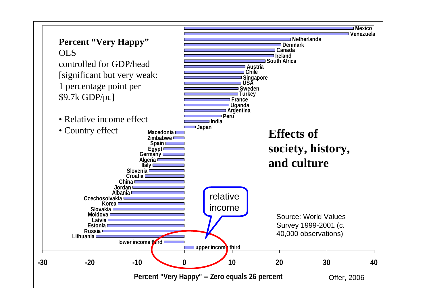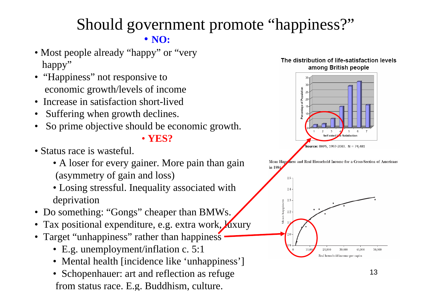### Should government promote "happiness?" • **NO:**

- Most people already "happy" or "very happy"
- "Happiness" not responsive to economic growth/levels of income
- Increase in satisfaction short-lived
- •Suffering when growth declines.
- •So prime objective should be economic growth.

• **YES?**

- Status race is wasteful.
	- A loser for every gainer. More pain than gain (asymmetry of gain and loss)
	- Losing stressful. Inequality associated with deprivation
- Do something: "Gongs" cheaper than BMWs.
- Tax positional expenditure, e.g. extra work, *J*uxury
- Target "unhappiness" rather than happiness
	- E.g. unemployment/inflation c. 5:1
	- Mental health [incidence like 'unhappiness']
	- Schopenhauer: art and reflection as refuge from status race. E. g. Buddhism, culture.



ness and Real Household Income for a Cross-Section of Americans in 1994

2.5

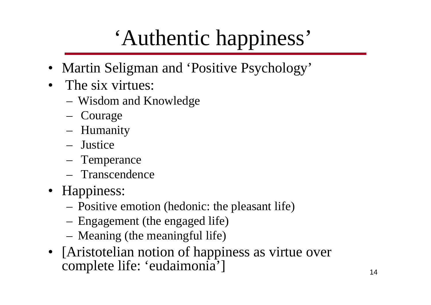# 'Authentic happiness'

- Martin Seligman and 'Positive Psychology'
- • The six virtues:
	- Wisdom and Knowledge
	- Courage
	- Humanity
	- Justice
	- Temperance
	- Transcendence
- Happiness:
	- Positive emotion (hedonic: the pleasant life)
	- Engagement (the engaged life)
	- Meaning (the meaningful life)
- [Aristotelian notion of happiness as virtue over complete life: 'eudaimonia']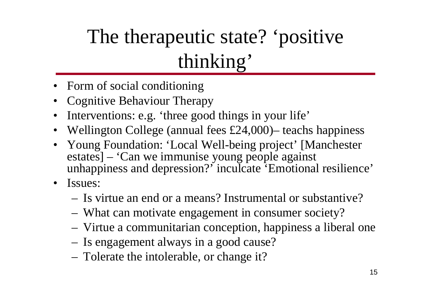# The therapeutic state? 'positive thinking'

- Form of social conditioning
- •Cognitive Behaviour Therapy
- •Interventions: e.g. 'three good things in your life'
- Wellington College (annual fees £24,000)– teachs happiness
- Young Foundation: 'Local Well-being project' [Manchester estates] – 'Can we immunise young people against unhappiness and depression?' inculcate 'Emotional resilience'
- Issues:
	- Is virtue an end or a means? Instrumental or substantive?
	- What can motivate engagement in consumer society?
	- Virtue a communitarian conception, happiness a liberal one
	- Is engagement always in a good cause?
	- Tolerate the intolerable, or change it?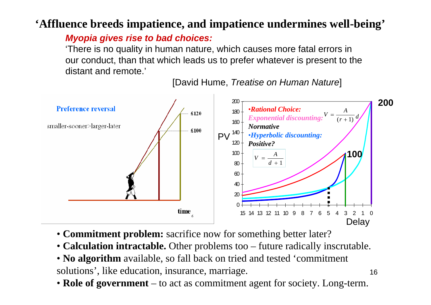#### **'Affluence breeds impatience, and impatience undermines well-being'**

#### *Myopia gives rise to bad choices:*

'There is no quality in human nature, which causes more fatal errors in our conduct, than that which leads us to prefer whatever is present to the distant and remote.'

[David Hume, *Treatise on Human Nature*]

16



- **Commitment problem:** sacrifice now for something better later?
- **Calculation intractable.** Other problems too future radically inscrutable.
- **No algorithm** available, so fall back on tried and tested 'commitment solutions', like education, insurance, marriage.
- **Role of government** to act as commitment agent for society. Long-term.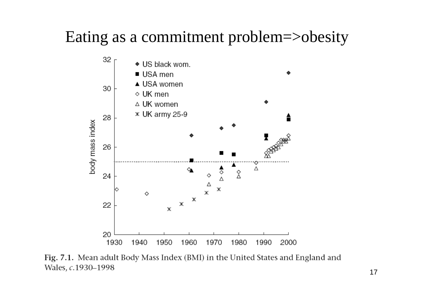### Eating as a commitment problem=>obesity



Fig. 7.1. Mean adult Body Mass Index (BMI) in the United States and England and Wales, c.1930-1998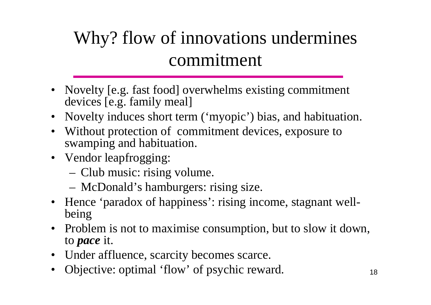# Why? flow of innovations undermines commitment

- Novelty [e.g. fast food] overwhelms existing commitment devices [e.g. family meal]
- •Novelty induces short term ('myopic') bias, and habituation.
- • Without protection of commitment devices, exposure to swamping and habituation.
- Vendor leapfrogging:
	- Club music: rising volume.
	- McDonald's hamburgers: rising size.
- • Hence 'paradox of happiness': rising income, stagnant wellbeing
- • Problem is not to maximise consumption, but to slow it down, to *pace* it.
- •Under affluence, scarcity becomes scarce.
- •Objective: optimal 'flow' of psychic reward.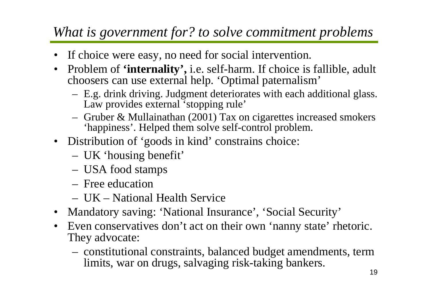### *What is government for? to solve commitment problems*

- $\bullet$ If choice were easy, no need for social intervention.
- Problem of **'internality',** i.e. self-harm. If choice is fallible, adult choosers can use external help. 'Optimal paternalism'
	- – E.g. drink driving. Judgment deteriorates with each additional glass. Law provides external 'stopping rule'
	- – Gruber & Mullainathan (2001) Tax on cigarettes increased smokers 'happiness'. Helped them solve self-control problem.
- Distribution of 'goods in kind' constrains choice:
	- –UK 'housing benefit'
	- $-$ USA food stamps
	- Free education
	- UK National Health Service
- Mandatory saving: 'National Insurance', 'Social Security'
- • Even conservatives don't act on their own 'nanny state' rhetoric. They advocate:
	- constitutional constraints, balanced budget amendments, term limits, war on drugs, salvaging risk-taking bankers.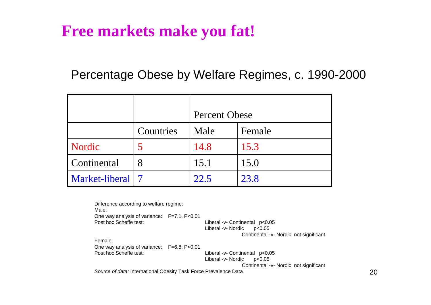### **Free markets make you fat!**

#### Percentage Obese by Welfare Regimes, c. 1990-2000

|                    |           | <b>Percent Obese</b> |        |
|--------------------|-----------|----------------------|--------|
|                    | Countries | Male                 | Female |
| Nordic             | 5         | 14.8                 | 15.3   |
| Continental        | 8         | 15.1                 | 15.0   |
| Market-liberal   7 |           | 22.5                 | 23.8   |

| Difference according to welfare regime:                          |  |                                        |  |
|------------------------------------------------------------------|--|----------------------------------------|--|
| Male:                                                            |  |                                        |  |
| One way analysis of variance: F=7.1, P<0.01                      |  |                                        |  |
| Post hoc Scheffe test:                                           |  | Liberal -v- Continental p<0.05         |  |
|                                                                  |  | Liberal -v- Nordic<br>p<0.05           |  |
|                                                                  |  | Continental -v- Nordic not significant |  |
| Female:                                                          |  |                                        |  |
| One way analysis of variance: F=6.8; P<0.01                      |  |                                        |  |
| Post hoc Scheffe test:                                           |  | Liberal -v- Continental p<0.05         |  |
|                                                                  |  | Liberal -v- Nordic<br>p<0.05           |  |
|                                                                  |  | Continental -v- Nordic not significant |  |
| Source of data: International Obesity Task Force Prevalence Data |  |                                        |  |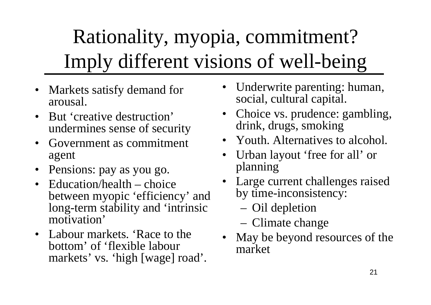# Rationality, myopia, commitment? Imply different visions of well-being

- Markets satisfy demand for arousal.
- But 'creative destruction' undermines sense of security
- • Government as commitment agent
- Pensions: pay as you go.
- Education/health choice between myopic 'efficiency' and long-term stability and 'intrinsic motivation'
- Labour markets. 'Race to the bottom' of 'flexible labour markets' vs. 'high [wage] road'.
- • Underwrite parenting: human, social, cultural capital.
- Choice vs. prudence: gambling, drink, drugs, smoking
- Youth. Alternatives to alcohol.
- Urban layout 'free for all' or planning
- Large current challenges raised by time-inconsistency:
	- Oil depletion
	- Climate change
- • May be beyond resources of the market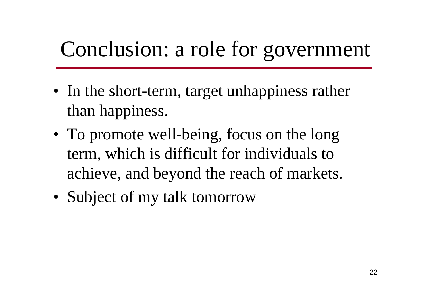# Conclusion: a role for government

- In the short-term, target unhappiness rather than happiness.
- To promote well-being, focus on the long term, which is difficult for individuals to achieve, and beyond the reach of markets.
- Subject of my talk tomorrow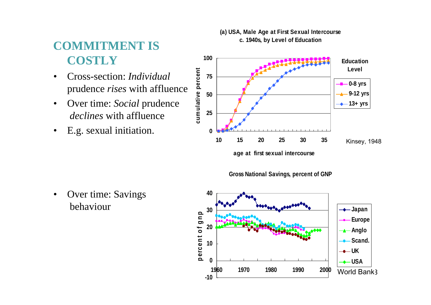### **COMMITMENT IS COSTLY**

- • Cross-section: *Individual* prudence *rises* with affluence
- • Over time: *Social* prudence *declines* with affluence
- •E.g. sexual initiation.

•



**age at first sexual intercourse**

**Gross National Savings, percent of GNP**



**(a) USA, Male Age at First Sexual Intercourse c. 1940s, by Level of Education**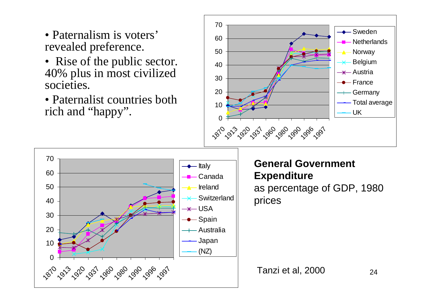- Paternalism is voters' revealed preference.
- Rise of the public sector. 40% plus in most civilized societies.
- Paternalist countries both rich and "happy".



24

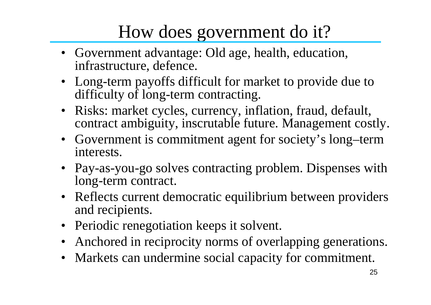# How does government do it?

- Government advantage: Old age, health, education, infrastructure, defence.
- Long-term payoffs difficult for market to provide due to difficulty of long-term contracting.
- Risks: market cycles, currency, inflation, fraud, default, contract ambiguity, inscrutable future. Management costly.
- Government is commitment agent for society's long–term interests.
- Pay-as-you-go solves contracting problem. Dispenses with long-term contract.
- Reflects current democratic equilibrium between providers and recipients.
- Periodic renegotiation keeps it solvent.
- $\bullet$ Anchored in reciprocity norms of overlapping generations.
- $\bullet$ Markets can undermine social capacity for commitment.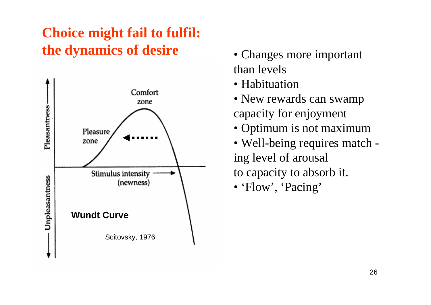### **Choice might fail to fulfil: the dynamics of desire** •



- Changes more important than levels
- Habituation
- New rewards can swamp capacity for enjoyment
- Optimum is not maximum
- Well-being requires match ing level of arousal to capacity to absorb it.
- 'Flow', 'Pacing'